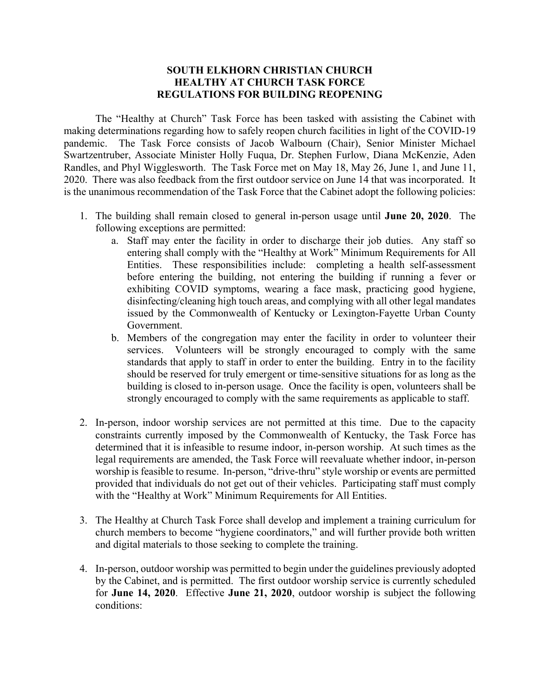## **SOUTH ELKHORN CHRISTIAN CHURCH HEALTHY AT CHURCH TASK FORCE REGULATIONS FOR BUILDING REOPENING**

The "Healthy at Church" Task Force has been tasked with assisting the Cabinet with making determinations regarding how to safely reopen church facilities in light of the COVID-19 pandemic. The Task Force consists of Jacob Walbourn (Chair), Senior Minister Michael Swartzentruber, Associate Minister Holly Fuqua, Dr. Stephen Furlow, Diana McKenzie, Aden Randles, and Phyl Wigglesworth. The Task Force met on May 18, May 26, June 1, and June 11, 2020. There was also feedback from the first outdoor service on June 14 that was incorporated. It is the unanimous recommendation of the Task Force that the Cabinet adopt the following policies:

- 1. The building shall remain closed to general in-person usage until **June 20, 2020**. The following exceptions are permitted:
	- a. Staff may enter the facility in order to discharge their job duties. Any staff so entering shall comply with the "Healthy at Work" Minimum Requirements for All Entities. These responsibilities include: completing a health self-assessment before entering the building, not entering the building if running a fever or exhibiting COVID symptoms, wearing a face mask, practicing good hygiene, disinfecting/cleaning high touch areas, and complying with all other legal mandates issued by the Commonwealth of Kentucky or Lexington-Fayette Urban County Government.
	- b. Members of the congregation may enter the facility in order to volunteer their services. Volunteers will be strongly encouraged to comply with the same standards that apply to staff in order to enter the building. Entry in to the facility should be reserved for truly emergent or time-sensitive situations for as long as the building is closed to in-person usage. Once the facility is open, volunteers shall be strongly encouraged to comply with the same requirements as applicable to staff.
- 2. In-person, indoor worship services are not permitted at this time. Due to the capacity constraints currently imposed by the Commonwealth of Kentucky, the Task Force has determined that it is infeasible to resume indoor, in-person worship. At such times as the legal requirements are amended, the Task Force will reevaluate whether indoor, in-person worship is feasible to resume. In-person, "drive-thru" style worship or events are permitted provided that individuals do not get out of their vehicles. Participating staff must comply with the "Healthy at Work" Minimum Requirements for All Entities.
- 3. The Healthy at Church Task Force shall develop and implement a training curriculum for church members to become "hygiene coordinators," and will further provide both written and digital materials to those seeking to complete the training.
- 4. In-person, outdoor worship was permitted to begin under the guidelines previously adopted by the Cabinet, and is permitted. The first outdoor worship service is currently scheduled for **June 14, 2020**. Effective **June 21, 2020**, outdoor worship is subject the following conditions: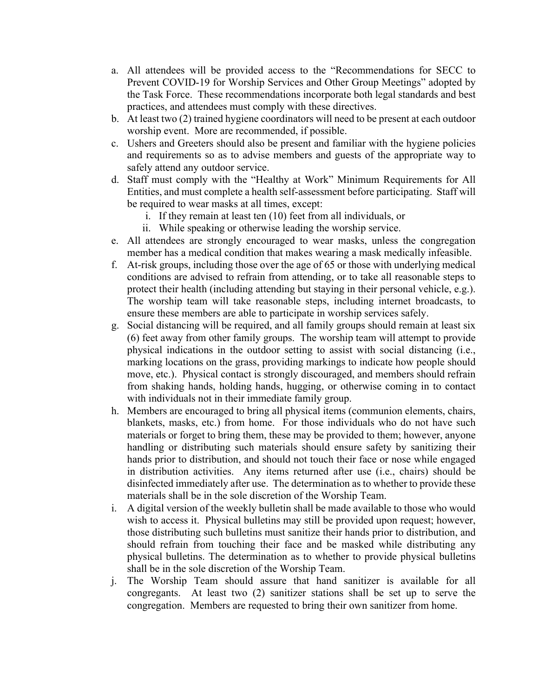- a. All attendees will be provided access to the "Recommendations for SECC to Prevent COVID-19 for Worship Services and Other Group Meetings" adopted by the Task Force. These recommendations incorporate both legal standards and best practices, and attendees must comply with these directives.
- b. At least two (2) trained hygiene coordinators will need to be present at each outdoor worship event. More are recommended, if possible.
- c. Ushers and Greeters should also be present and familiar with the hygiene policies and requirements so as to advise members and guests of the appropriate way to safely attend any outdoor service.
- d. Staff must comply with the "Healthy at Work" Minimum Requirements for All Entities, and must complete a health self-assessment before participating. Staff will be required to wear masks at all times, except:
	- i. If they remain at least ten (10) feet from all individuals, or
	- ii. While speaking or otherwise leading the worship service.
- e. All attendees are strongly encouraged to wear masks, unless the congregation member has a medical condition that makes wearing a mask medically infeasible.
- f. At-risk groups, including those over the age of 65 or those with underlying medical conditions are advised to refrain from attending, or to take all reasonable steps to protect their health (including attending but staying in their personal vehicle, e.g.). The worship team will take reasonable steps, including internet broadcasts, to ensure these members are able to participate in worship services safely.
- g. Social distancing will be required, and all family groups should remain at least six (6) feet away from other family groups. The worship team will attempt to provide physical indications in the outdoor setting to assist with social distancing (i.e., marking locations on the grass, providing markings to indicate how people should move, etc.). Physical contact is strongly discouraged, and members should refrain from shaking hands, holding hands, hugging, or otherwise coming in to contact with individuals not in their immediate family group.
- h. Members are encouraged to bring all physical items (communion elements, chairs, blankets, masks, etc.) from home. For those individuals who do not have such materials or forget to bring them, these may be provided to them; however, anyone handling or distributing such materials should ensure safety by sanitizing their hands prior to distribution, and should not touch their face or nose while engaged in distribution activities. Any items returned after use (i.e., chairs) should be disinfected immediately after use. The determination as to whether to provide these materials shall be in the sole discretion of the Worship Team.
- i. A digital version of the weekly bulletin shall be made available to those who would wish to access it. Physical bulletins may still be provided upon request; however, those distributing such bulletins must sanitize their hands prior to distribution, and should refrain from touching their face and be masked while distributing any physical bulletins. The determination as to whether to provide physical bulletins shall be in the sole discretion of the Worship Team.
- j. The Worship Team should assure that hand sanitizer is available for all congregants. At least two (2) sanitizer stations shall be set up to serve the congregation. Members are requested to bring their own sanitizer from home.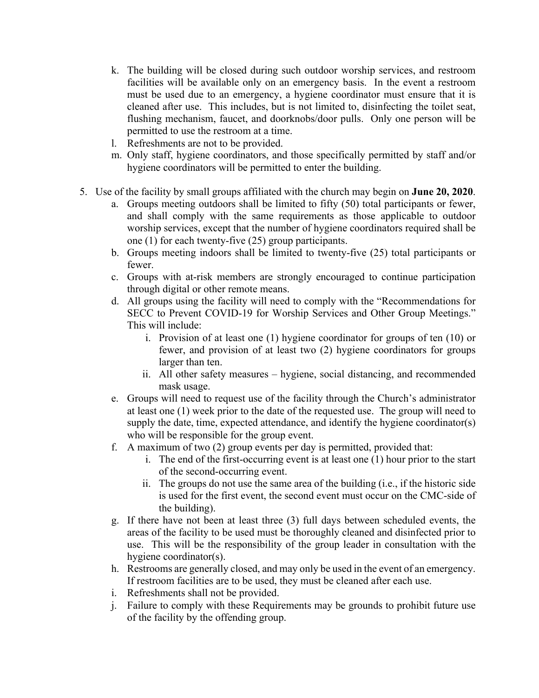- k. The building will be closed during such outdoor worship services, and restroom facilities will be available only on an emergency basis. In the event a restroom must be used due to an emergency, a hygiene coordinator must ensure that it is cleaned after use. This includes, but is not limited to, disinfecting the toilet seat, flushing mechanism, faucet, and doorknobs/door pulls. Only one person will be permitted to use the restroom at a time.
- l. Refreshments are not to be provided.
- m. Only staff, hygiene coordinators, and those specifically permitted by staff and/or hygiene coordinators will be permitted to enter the building.
- 5. Use of the facility by small groups affiliated with the church may begin on **June 20, 2020**.
	- a. Groups meeting outdoors shall be limited to fifty (50) total participants or fewer, and shall comply with the same requirements as those applicable to outdoor worship services, except that the number of hygiene coordinators required shall be one (1) for each twenty-five (25) group participants.
	- b. Groups meeting indoors shall be limited to twenty-five (25) total participants or fewer.
	- c. Groups with at-risk members are strongly encouraged to continue participation through digital or other remote means.
	- d. All groups using the facility will need to comply with the "Recommendations for SECC to Prevent COVID-19 for Worship Services and Other Group Meetings." This will include:
		- i. Provision of at least one (1) hygiene coordinator for groups of ten (10) or fewer, and provision of at least two (2) hygiene coordinators for groups larger than ten.
		- ii. All other safety measures hygiene, social distancing, and recommended mask usage.
	- e. Groups will need to request use of the facility through the Church's administrator at least one (1) week prior to the date of the requested use. The group will need to supply the date, time, expected attendance, and identify the hygiene coordinator(s) who will be responsible for the group event.
	- f. A maximum of two (2) group events per day is permitted, provided that:
		- i. The end of the first-occurring event is at least one (1) hour prior to the start of the second-occurring event.
		- ii. The groups do not use the same area of the building (i.e., if the historic side is used for the first event, the second event must occur on the CMC-side of the building).
	- g. If there have not been at least three (3) full days between scheduled events, the areas of the facility to be used must be thoroughly cleaned and disinfected prior to use. This will be the responsibility of the group leader in consultation with the hygiene coordinator(s).
	- h. Restrooms are generally closed, and may only be used in the event of an emergency. If restroom facilities are to be used, they must be cleaned after each use.
	- i. Refreshments shall not be provided.
	- j. Failure to comply with these Requirements may be grounds to prohibit future use of the facility by the offending group.